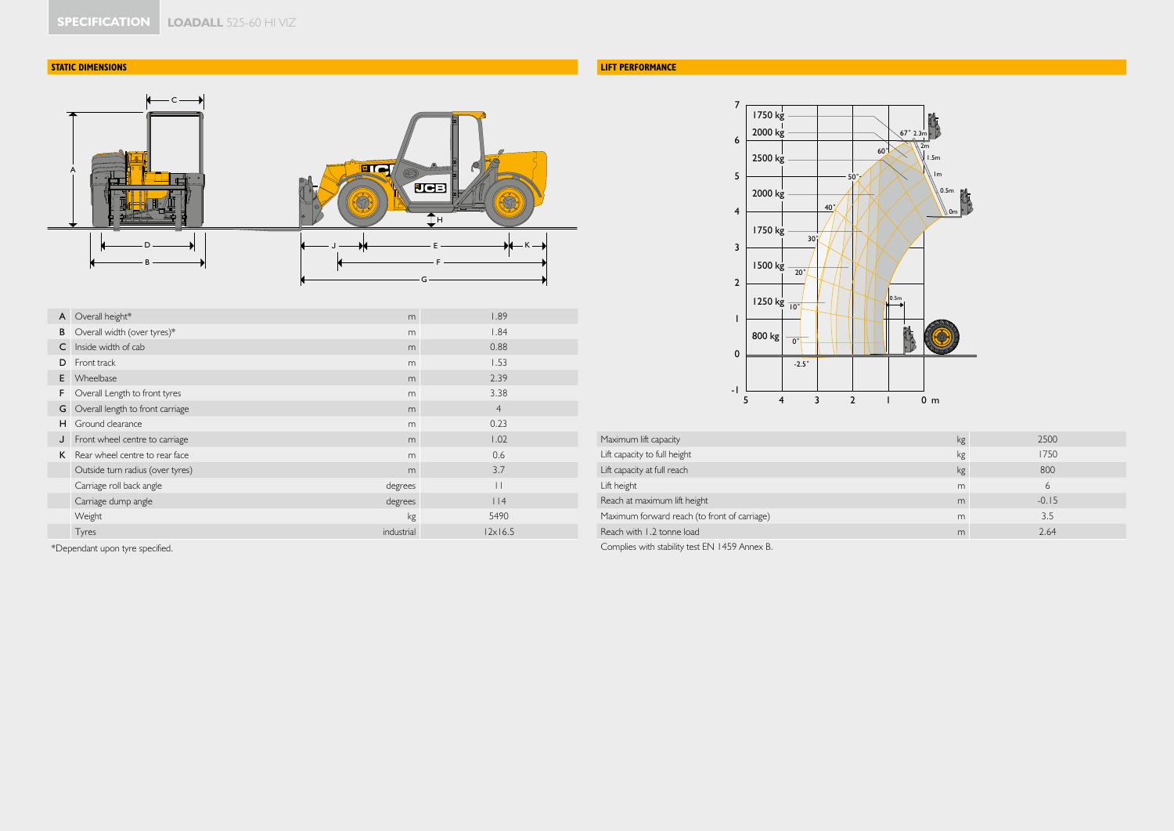# **STATIC DIMENSIONS**



| A | Overall height*                  | m          | 1.89           |
|---|----------------------------------|------------|----------------|
| B | Overall width (over tyres)*      | m          | 1.84           |
| C | Inside width of cab              | m          | 0.88           |
| D | Front track                      | m          | 1.53           |
| E | Wheelbase                        | m          | 2.39           |
| F | Overall Length to front tyres    | m          | 3.38           |
| G | Overall length to front carriage | m          | $\overline{4}$ |
| н | Ground clearance                 | m          | 0.23           |
| J | Front wheel centre to carriage   | m          | 1.02           |
| K | Rear wheel centre to rear face   | m          | 0.6            |
|   | Outside turn radius (over tyres) | m          | 3.7            |
|   | Carriage roll back angle         | degrees    | $\Box$         |
|   | Carriage dump angle              | degrees    | $ $  4         |
|   | Weight                           | kg         | 5490           |
|   | Tyres                            | industrial | $ 2x $ 6.5     |

\*Dependant upon tyre specified.

# **LIFT PERFORMANCE**



| Maximum lift capacity                        | kg | 2500    |
|----------------------------------------------|----|---------|
| Lift capacity to full height                 | kg | 1750    |
| Lift capacity at full reach                  | kg | 800     |
| Lift height                                  | m  | ь       |
| Reach at maximum lift height                 | m  | $-0.15$ |
| Maximum forward reach (to front of carriage) | m  | 3.5     |
| Reach with 1.2 tonne load                    | m  | 2.64    |

Complies with stability test EN 1459 Annex B.